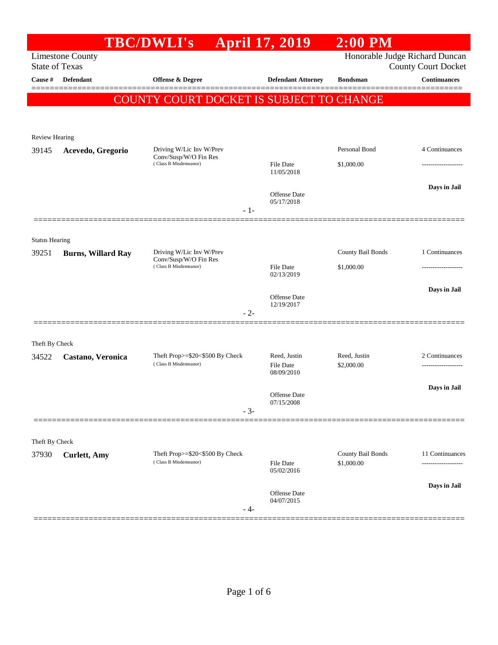|                                |                           | <b>TBC/DWLI's</b>                                        | <b>April 17, 2019</b>      | $2:00$ PM                       |                                |
|--------------------------------|---------------------------|----------------------------------------------------------|----------------------------|---------------------------------|--------------------------------|
|                                | <b>Limestone County</b>   |                                                          |                            |                                 | Honorable Judge Richard Duncan |
| <b>State of Texas</b>          |                           |                                                          |                            |                                 | <b>County Court Docket</b>     |
| Cause #                        | Defendant                 | <b>Offense &amp; Degree</b>                              | <b>Defendant Attorney</b>  | <b>Bondsman</b>                 | <b>Continuances</b>            |
|                                |                           | COUNTY COURT DOCKET IS SUBJECT TO CHANGE                 |                            |                                 |                                |
|                                |                           |                                                          |                            |                                 |                                |
|                                |                           |                                                          |                            |                                 |                                |
| <b>Review Hearing</b><br>39145 | Acevedo, Gregorio         | Driving W/Lic Inv W/Prev                                 |                            | Personal Bond                   | 4 Continuances                 |
|                                |                           | Conv/Susp/W/O Fin Res<br>(Class B Misdemeanor)           | File Date                  | \$1,000.00                      |                                |
|                                |                           |                                                          | 11/05/2018                 |                                 |                                |
|                                |                           |                                                          |                            |                                 | Days in Jail                   |
|                                |                           |                                                          | Offense Date<br>05/17/2018 |                                 |                                |
|                                |                           | $-1-$                                                    |                            |                                 |                                |
|                                |                           |                                                          |                            |                                 |                                |
| <b>Status Hearing</b>          |                           |                                                          |                            |                                 |                                |
| 39251                          | <b>Burns, Willard Ray</b> | Driving W/Lic Inv W/Prev<br>Conv/Susp/W/O Fin Res        |                            | County Bail Bonds               | 1 Continuances                 |
|                                |                           | (Class B Misdemeanor)                                    | File Date<br>02/13/2019    | \$1,000.00                      |                                |
|                                |                           |                                                          |                            |                                 | Days in Jail                   |
|                                |                           |                                                          | Offense Date<br>12/19/2017 |                                 |                                |
|                                |                           | $-2-$                                                    |                            |                                 |                                |
|                                |                           |                                                          |                            |                                 |                                |
| Theft By Check                 |                           |                                                          |                            |                                 |                                |
| 34522                          | Castano, Veronica         | Theft Prop>=\$20<\$500 By Check<br>(Class B Misdemeanor) | Reed, Justin<br>File Date  | Reed, Justin<br>\$2,000.00      | 2 Continuances                 |
|                                |                           |                                                          | 08/09/2010                 |                                 |                                |
|                                |                           |                                                          |                            |                                 | Days in Jail                   |
|                                |                           |                                                          | Offense Date<br>07/15/2008 |                                 |                                |
|                                |                           | $-3-$                                                    |                            |                                 |                                |
|                                |                           |                                                          |                            |                                 |                                |
| Theft By Check                 |                           |                                                          |                            |                                 |                                |
| 37930                          | <b>Curlett</b> , Amy      | Theft Prop>=\$20<\$500 By Check<br>(Class B Misdemeanor) | File Date                  | County Bail Bonds<br>\$1,000.00 | 11 Continuances                |
|                                |                           |                                                          | 05/02/2016                 |                                 |                                |
|                                |                           |                                                          | Offense Date               |                                 | Days in Jail                   |
|                                |                           |                                                          | 04/07/2015                 |                                 |                                |
|                                |                           | - 4-                                                     |                            |                                 |                                |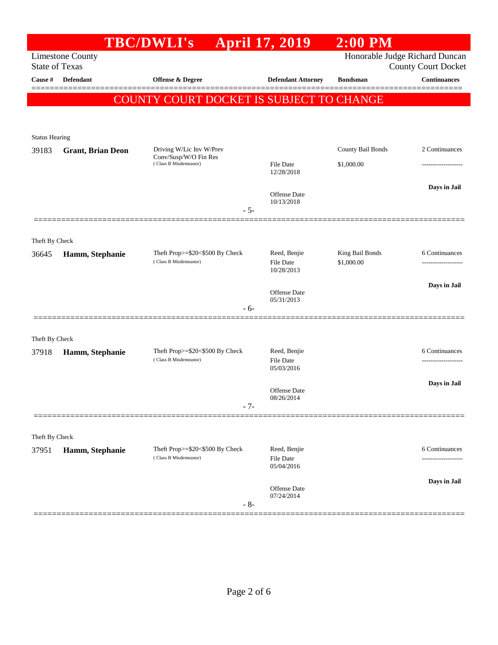|                                  |                          | <b>TBC/DWLI's</b>                                        | <b>April 17, 2019</b>             | $2:00$ PM         |                                                   |
|----------------------------------|--------------------------|----------------------------------------------------------|-----------------------------------|-------------------|---------------------------------------------------|
|                                  | <b>Limestone County</b>  |                                                          |                                   |                   | Honorable Judge Richard Duncan                    |
| <b>State of Texas</b><br>Cause # | <b>Defendant</b>         | <b>Offense &amp; Degree</b>                              | <b>Defendant Attorney</b>         | <b>Bondsman</b>   | <b>County Court Docket</b><br><b>Continuances</b> |
|                                  |                          |                                                          |                                   |                   |                                                   |
|                                  |                          | COUNTY COURT DOCKET IS SUBJECT TO CHANGE                 |                                   |                   |                                                   |
|                                  |                          |                                                          |                                   |                   |                                                   |
| <b>Status Hearing</b>            |                          |                                                          |                                   |                   |                                                   |
| 39183                            | <b>Grant, Brian Deon</b> | Driving W/Lic Inv W/Prev                                 |                                   | County Bail Bonds | 2 Continuances                                    |
|                                  |                          | Conv/Susp/W/O Fin Res<br>(Class B Misdemeanor)           | <b>File Date</b>                  | \$1,000.00        |                                                   |
|                                  |                          |                                                          | 12/28/2018                        |                   |                                                   |
|                                  |                          |                                                          | Offense Date                      |                   | Days in Jail                                      |
|                                  |                          | $-5-$                                                    | 10/13/2018                        |                   |                                                   |
|                                  |                          |                                                          |                                   |                   |                                                   |
| Theft By Check                   |                          |                                                          |                                   |                   |                                                   |
| 36645                            | Hamm, Stephanie          | Theft Prop>=\$20<\$500 By Check                          | Reed, Benjie                      | King Bail Bonds   | 6 Continuances                                    |
|                                  |                          | (Class B Misdemeanor)                                    | File Date<br>10/28/2013           | \$1,000.00        |                                                   |
|                                  |                          |                                                          |                                   |                   | Days in Jail                                      |
|                                  |                          |                                                          | <b>Offense</b> Date<br>05/31/2013 |                   |                                                   |
|                                  |                          | $-6-$                                                    |                                   |                   |                                                   |
|                                  |                          |                                                          |                                   |                   |                                                   |
| Theft By Check                   |                          |                                                          |                                   |                   |                                                   |
| 37918                            | Hamm, Stephanie          | Theft Prop>=\$20<\$500 By Check<br>(Class B Misdemeanor) | Reed, Benjie<br><b>File Date</b>  |                   | 6 Continuances<br>.                               |
|                                  |                          |                                                          | 05/03/2016                        |                   |                                                   |
|                                  |                          |                                                          | <b>Offense Date</b>               |                   | Days in Jail                                      |
|                                  |                          | $-7-$                                                    | 08/26/2014                        |                   |                                                   |
|                                  |                          |                                                          |                                   |                   |                                                   |
| Theft By Check                   |                          |                                                          |                                   |                   |                                                   |
| 37951                            | Hamm, Stephanie          | Theft Prop>=\$20<\$500 By Check                          | Reed, Benjie                      |                   | 6 Continuances                                    |
|                                  |                          | (Class B Misdemeanor)                                    | File Date<br>05/04/2016           |                   |                                                   |
|                                  |                          |                                                          |                                   |                   | Days in Jail                                      |
|                                  |                          |                                                          | Offense Date<br>07/24/2014        |                   |                                                   |
|                                  |                          | $-8-$                                                    |                                   |                   |                                                   |
|                                  |                          |                                                          |                                   |                   |                                                   |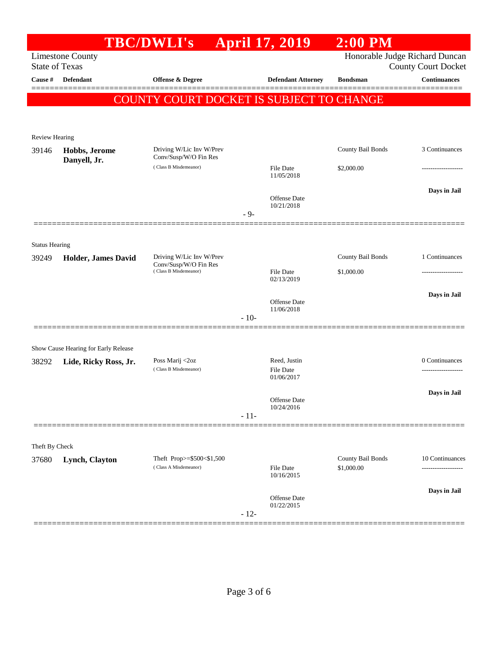|                       |                                                               | <b>TBC/DWLI's</b>                                                          |        | <b>April 17, 2019</b>          | $2:00$ PM                       |                                                              |
|-----------------------|---------------------------------------------------------------|----------------------------------------------------------------------------|--------|--------------------------------|---------------------------------|--------------------------------------------------------------|
| <b>State of Texas</b> | <b>Limestone County</b>                                       |                                                                            |        |                                |                                 | Honorable Judge Richard Duncan<br><b>County Court Docket</b> |
| Cause #               | Defendant                                                     | <b>Offense &amp; Degree</b>                                                |        | <b>Defendant Attorney</b>      | <b>Bondsman</b>                 | $\label{1.1}$ Continuances                                   |
|                       |                                                               | COUNTY COURT DOCKET IS SUBJECT TO CHANGE                                   |        |                                |                                 |                                                              |
|                       |                                                               |                                                                            |        |                                |                                 |                                                              |
|                       |                                                               |                                                                            |        |                                |                                 |                                                              |
| <b>Review Hearing</b> |                                                               | Driving W/Lic Inv W/Prev                                                   |        |                                | County Bail Bonds               | 3 Continuances                                               |
| 39146                 | Hobbs, Jerome<br>Danyell, Jr.                                 | Conv/Susp/W/O Fin Res                                                      |        |                                |                                 |                                                              |
|                       |                                                               | (Class B Misdemeanor)                                                      |        | File Date<br>11/05/2018        | \$2,000.00                      |                                                              |
|                       |                                                               |                                                                            |        |                                |                                 | Days in Jail                                                 |
|                       |                                                               |                                                                            |        | Offense Date<br>10/21/2018     |                                 |                                                              |
|                       |                                                               |                                                                            | $-9-$  |                                |                                 |                                                              |
|                       |                                                               |                                                                            |        |                                |                                 |                                                              |
| <b>Status Hearing</b> |                                                               |                                                                            |        |                                |                                 |                                                              |
| 39249                 | Holder, James David                                           | Driving W/Lic Inv W/Prev<br>Conv/Susp/W/O Fin Res<br>(Class B Misdemeanor) |        |                                | County Bail Bonds               | 1 Continuances                                               |
|                       |                                                               |                                                                            |        | File Date<br>02/13/2019        | \$1,000.00                      |                                                              |
|                       |                                                               |                                                                            |        |                                |                                 | Days in Jail                                                 |
|                       |                                                               |                                                                            |        | Offense Date<br>11/06/2018     |                                 |                                                              |
|                       |                                                               |                                                                            | $-10-$ |                                |                                 |                                                              |
|                       |                                                               |                                                                            |        |                                |                                 |                                                              |
| 38292                 | Show Cause Hearing for Early Release<br>Lide, Ricky Ross, Jr. | Poss Marij <2oz                                                            |        | Reed, Justin                   |                                 | 0 Continuances                                               |
|                       |                                                               | (Class B Misdemeanor)                                                      |        | <b>File Date</b><br>01/06/2017 |                                 |                                                              |
|                       |                                                               |                                                                            |        |                                |                                 | Days in Jail                                                 |
|                       |                                                               |                                                                            |        | Offense Date<br>10/24/2016     |                                 |                                                              |
|                       |                                                               |                                                                            | $-11-$ |                                |                                 |                                                              |
|                       |                                                               |                                                                            |        |                                |                                 |                                                              |
| Theft By Check        |                                                               |                                                                            |        |                                |                                 |                                                              |
| 37680                 | Lynch, Clayton                                                | Theft Prop>=\$500<\$1,500<br>(Class A Misdemeanor)                         |        | File Date                      | County Bail Bonds<br>\$1,000.00 | 10 Continuances                                              |
|                       |                                                               |                                                                            |        | 10/16/2015                     |                                 |                                                              |
|                       |                                                               |                                                                            |        | Offense Date                   |                                 | Days in Jail                                                 |
|                       |                                                               |                                                                            | $-12-$ | 01/22/2015                     |                                 |                                                              |
|                       |                                                               |                                                                            |        |                                |                                 |                                                              |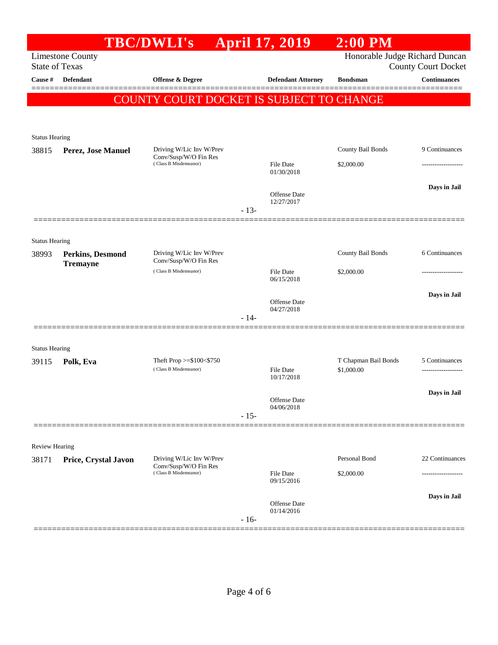| Honorable Judge Richard Duncan<br><b>Limestone County</b><br><b>State of Texas</b><br><b>County Court Docket</b><br>Defendant<br>Offense $\&$ Degree<br><b>Continuances</b><br>Cause #<br><b>Defendant Attorney</b><br><b>Bondsman</b><br>COUNTY COURT DOCKET IS SUBJECT TO CHANGE<br><b>Status Hearing</b><br>County Bail Bonds<br>9 Continuances<br>Driving W/Lic Inv W/Prev<br>38815<br>Perez, Jose Manuel<br>Conv/Susp/W/O Fin Res<br>(Class B Misdemeanor)<br>\$2,000.00<br>File Date<br>.<br>01/30/2018<br><b>Offense Date</b><br>12/27/2017<br>$-13-$<br><b>Status Hearing</b><br>Driving W/Lic Inv W/Prev<br>County Bail Bonds<br>38993<br>Perkins, Desmond<br>Conv/Susp/W/O Fin Res<br><b>Tremayne</b><br>(Class B Misdemeanor)<br>File Date<br>\$2,000.00<br>06/15/2018<br>Offense Date<br>04/27/2018<br>$-14-$<br><b>Status Hearing</b><br>Theft Prop $>= $100 < $750$<br>T Chapman Bail Bonds<br>5 Continuances<br>Polk, Eva<br>39115<br>(Class B Misdemeanor)<br><b>File Date</b><br>\$1,000.00<br>10/17/2018<br>Offense Date<br>04/06/2018<br>$-15-$<br><b>Review Hearing</b><br>Personal Bond<br>Driving W/Lic Inv W/Prev<br>Price, Crystal Javon<br>38171<br>Conv/Susp/W/O Fin Res<br>(Class B Misdemeanor)<br>\$2,000.00<br>File Date<br>--------------<br>09/15/2016<br>Offense Date<br>01/14/2016<br>$-16-$ |  | <b>TBC/DWLI's</b> | <b>April 17, 2019</b> | $2:00$ PM |                    |
|--------------------------------------------------------------------------------------------------------------------------------------------------------------------------------------------------------------------------------------------------------------------------------------------------------------------------------------------------------------------------------------------------------------------------------------------------------------------------------------------------------------------------------------------------------------------------------------------------------------------------------------------------------------------------------------------------------------------------------------------------------------------------------------------------------------------------------------------------------------------------------------------------------------------------------------------------------------------------------------------------------------------------------------------------------------------------------------------------------------------------------------------------------------------------------------------------------------------------------------------------------------------------------------------------------------------------------|--|-------------------|-----------------------|-----------|--------------------|
|                                                                                                                                                                                                                                                                                                                                                                                                                                                                                                                                                                                                                                                                                                                                                                                                                                                                                                                                                                                                                                                                                                                                                                                                                                                                                                                                |  |                   |                       |           |                    |
|                                                                                                                                                                                                                                                                                                                                                                                                                                                                                                                                                                                                                                                                                                                                                                                                                                                                                                                                                                                                                                                                                                                                                                                                                                                                                                                                |  |                   |                       |           |                    |
|                                                                                                                                                                                                                                                                                                                                                                                                                                                                                                                                                                                                                                                                                                                                                                                                                                                                                                                                                                                                                                                                                                                                                                                                                                                                                                                                |  |                   |                       |           |                    |
|                                                                                                                                                                                                                                                                                                                                                                                                                                                                                                                                                                                                                                                                                                                                                                                                                                                                                                                                                                                                                                                                                                                                                                                                                                                                                                                                |  |                   |                       |           |                    |
|                                                                                                                                                                                                                                                                                                                                                                                                                                                                                                                                                                                                                                                                                                                                                                                                                                                                                                                                                                                                                                                                                                                                                                                                                                                                                                                                |  |                   |                       |           |                    |
|                                                                                                                                                                                                                                                                                                                                                                                                                                                                                                                                                                                                                                                                                                                                                                                                                                                                                                                                                                                                                                                                                                                                                                                                                                                                                                                                |  |                   |                       |           |                    |
|                                                                                                                                                                                                                                                                                                                                                                                                                                                                                                                                                                                                                                                                                                                                                                                                                                                                                                                                                                                                                                                                                                                                                                                                                                                                                                                                |  |                   |                       |           |                    |
|                                                                                                                                                                                                                                                                                                                                                                                                                                                                                                                                                                                                                                                                                                                                                                                                                                                                                                                                                                                                                                                                                                                                                                                                                                                                                                                                |  |                   |                       |           |                    |
|                                                                                                                                                                                                                                                                                                                                                                                                                                                                                                                                                                                                                                                                                                                                                                                                                                                                                                                                                                                                                                                                                                                                                                                                                                                                                                                                |  |                   |                       |           |                    |
|                                                                                                                                                                                                                                                                                                                                                                                                                                                                                                                                                                                                                                                                                                                                                                                                                                                                                                                                                                                                                                                                                                                                                                                                                                                                                                                                |  |                   |                       |           | Days in Jail       |
|                                                                                                                                                                                                                                                                                                                                                                                                                                                                                                                                                                                                                                                                                                                                                                                                                                                                                                                                                                                                                                                                                                                                                                                                                                                                                                                                |  |                   |                       |           |                    |
|                                                                                                                                                                                                                                                                                                                                                                                                                                                                                                                                                                                                                                                                                                                                                                                                                                                                                                                                                                                                                                                                                                                                                                                                                                                                                                                                |  |                   |                       |           |                    |
|                                                                                                                                                                                                                                                                                                                                                                                                                                                                                                                                                                                                                                                                                                                                                                                                                                                                                                                                                                                                                                                                                                                                                                                                                                                                                                                                |  |                   |                       |           |                    |
|                                                                                                                                                                                                                                                                                                                                                                                                                                                                                                                                                                                                                                                                                                                                                                                                                                                                                                                                                                                                                                                                                                                                                                                                                                                                                                                                |  |                   |                       |           |                    |
|                                                                                                                                                                                                                                                                                                                                                                                                                                                                                                                                                                                                                                                                                                                                                                                                                                                                                                                                                                                                                                                                                                                                                                                                                                                                                                                                |  |                   |                       |           | 6 Continuances     |
|                                                                                                                                                                                                                                                                                                                                                                                                                                                                                                                                                                                                                                                                                                                                                                                                                                                                                                                                                                                                                                                                                                                                                                                                                                                                                                                                |  |                   |                       |           |                    |
|                                                                                                                                                                                                                                                                                                                                                                                                                                                                                                                                                                                                                                                                                                                                                                                                                                                                                                                                                                                                                                                                                                                                                                                                                                                                                                                                |  |                   |                       |           |                    |
|                                                                                                                                                                                                                                                                                                                                                                                                                                                                                                                                                                                                                                                                                                                                                                                                                                                                                                                                                                                                                                                                                                                                                                                                                                                                                                                                |  |                   |                       |           | Days in Jail       |
|                                                                                                                                                                                                                                                                                                                                                                                                                                                                                                                                                                                                                                                                                                                                                                                                                                                                                                                                                                                                                                                                                                                                                                                                                                                                                                                                |  |                   |                       |           |                    |
|                                                                                                                                                                                                                                                                                                                                                                                                                                                                                                                                                                                                                                                                                                                                                                                                                                                                                                                                                                                                                                                                                                                                                                                                                                                                                                                                |  |                   |                       |           |                    |
|                                                                                                                                                                                                                                                                                                                                                                                                                                                                                                                                                                                                                                                                                                                                                                                                                                                                                                                                                                                                                                                                                                                                                                                                                                                                                                                                |  |                   |                       |           |                    |
|                                                                                                                                                                                                                                                                                                                                                                                                                                                                                                                                                                                                                                                                                                                                                                                                                                                                                                                                                                                                                                                                                                                                                                                                                                                                                                                                |  |                   |                       |           |                    |
|                                                                                                                                                                                                                                                                                                                                                                                                                                                                                                                                                                                                                                                                                                                                                                                                                                                                                                                                                                                                                                                                                                                                                                                                                                                                                                                                |  |                   |                       |           | ------------------ |
|                                                                                                                                                                                                                                                                                                                                                                                                                                                                                                                                                                                                                                                                                                                                                                                                                                                                                                                                                                                                                                                                                                                                                                                                                                                                                                                                |  |                   |                       |           |                    |
|                                                                                                                                                                                                                                                                                                                                                                                                                                                                                                                                                                                                                                                                                                                                                                                                                                                                                                                                                                                                                                                                                                                                                                                                                                                                                                                                |  |                   |                       |           | Days in Jail       |
|                                                                                                                                                                                                                                                                                                                                                                                                                                                                                                                                                                                                                                                                                                                                                                                                                                                                                                                                                                                                                                                                                                                                                                                                                                                                                                                                |  |                   |                       |           |                    |
|                                                                                                                                                                                                                                                                                                                                                                                                                                                                                                                                                                                                                                                                                                                                                                                                                                                                                                                                                                                                                                                                                                                                                                                                                                                                                                                                |  |                   |                       |           |                    |
|                                                                                                                                                                                                                                                                                                                                                                                                                                                                                                                                                                                                                                                                                                                                                                                                                                                                                                                                                                                                                                                                                                                                                                                                                                                                                                                                |  |                   |                       |           |                    |
|                                                                                                                                                                                                                                                                                                                                                                                                                                                                                                                                                                                                                                                                                                                                                                                                                                                                                                                                                                                                                                                                                                                                                                                                                                                                                                                                |  |                   |                       |           | 22 Continuances    |
|                                                                                                                                                                                                                                                                                                                                                                                                                                                                                                                                                                                                                                                                                                                                                                                                                                                                                                                                                                                                                                                                                                                                                                                                                                                                                                                                |  |                   |                       |           |                    |
|                                                                                                                                                                                                                                                                                                                                                                                                                                                                                                                                                                                                                                                                                                                                                                                                                                                                                                                                                                                                                                                                                                                                                                                                                                                                                                                                |  |                   |                       |           |                    |
|                                                                                                                                                                                                                                                                                                                                                                                                                                                                                                                                                                                                                                                                                                                                                                                                                                                                                                                                                                                                                                                                                                                                                                                                                                                                                                                                |  |                   |                       |           | Days in Jail       |
|                                                                                                                                                                                                                                                                                                                                                                                                                                                                                                                                                                                                                                                                                                                                                                                                                                                                                                                                                                                                                                                                                                                                                                                                                                                                                                                                |  |                   |                       |           |                    |
|                                                                                                                                                                                                                                                                                                                                                                                                                                                                                                                                                                                                                                                                                                                                                                                                                                                                                                                                                                                                                                                                                                                                                                                                                                                                                                                                |  |                   |                       |           |                    |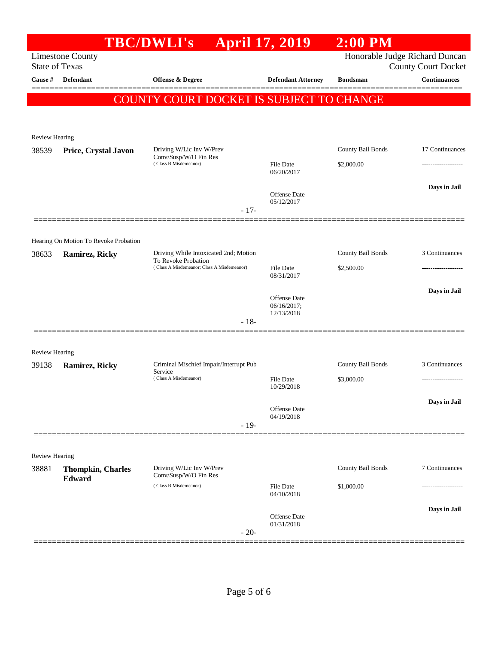|                       |                                       | <b>TBC/DWLI's</b>                                                 | <b>April 17, 2019</b>                            | $2:00$ PM         |                                                              |
|-----------------------|---------------------------------------|-------------------------------------------------------------------|--------------------------------------------------|-------------------|--------------------------------------------------------------|
| <b>State of Texas</b> | <b>Limestone County</b>               |                                                                   |                                                  |                   | Honorable Judge Richard Duncan<br><b>County Court Docket</b> |
| Cause #               | <b>Defendant</b>                      | Offense & Degree                                                  | <b>Defendant Attorney</b>                        | <b>Bondsman</b>   | $\label{1.1}$ Continuances                                   |
|                       |                                       | COUNTY COURT DOCKET IS SUBJECT TO CHANGE                          |                                                  |                   |                                                              |
|                       |                                       |                                                                   |                                                  |                   |                                                              |
| <b>Review Hearing</b> |                                       |                                                                   |                                                  |                   |                                                              |
| 38539                 | Price, Crystal Javon                  | Driving W/Lic Inv W/Prev<br>Conv/Susp/W/O Fin Res                 |                                                  | County Bail Bonds | 17 Continuances                                              |
|                       |                                       | (Class B Misdemeanor)                                             | File Date<br>06/20/2017                          | \$2,000.00        |                                                              |
|                       |                                       |                                                                   | Offense Date                                     |                   | Days in Jail                                                 |
|                       |                                       | $-17-$                                                            | 05/12/2017                                       |                   |                                                              |
|                       | Hearing On Motion To Revoke Probation |                                                                   |                                                  |                   |                                                              |
| 38633                 | Ramirez, Ricky                        | Driving While Intoxicated 2nd; Motion                             |                                                  | County Bail Bonds | 3 Continuances                                               |
|                       |                                       | To Revoke Probation<br>(Class A Misdemeanor; Class A Misdemeanor) | <b>File Date</b><br>08/31/2017                   | \$2,500.00        |                                                              |
|                       |                                       |                                                                   |                                                  |                   | Days in Jail                                                 |
|                       |                                       |                                                                   | <b>Offense</b> Date<br>06/16/2017;<br>12/13/2018 |                   |                                                              |
|                       |                                       | $-18-$                                                            |                                                  |                   |                                                              |
| <b>Review Hearing</b> |                                       |                                                                   |                                                  |                   |                                                              |
| 39138                 | Ramirez, Ricky                        | Criminal Mischief Impair/Interrupt Pub<br>Service                 |                                                  | County Bail Bonds | 3 Continuances                                               |
|                       |                                       | (Class A Misdemeanor)                                             | <b>File Date</b><br>10/29/2018                   | \$3,000.00        | ------------------                                           |
|                       |                                       |                                                                   | Offense Date                                     |                   | Days in Jail                                                 |
|                       |                                       | $-19-$                                                            | 04/19/2018                                       |                   |                                                              |
| <b>Review Hearing</b> |                                       |                                                                   |                                                  |                   |                                                              |
| 38881                 | <b>Thompkin, Charles</b><br>Edward    | Driving W/Lic Inv W/Prev<br>Conv/Susp/W/O Fin Res                 |                                                  | County Bail Bonds | 7 Continuances                                               |
|                       |                                       | (Class B Misdemeanor)                                             | <b>File Date</b><br>04/10/2018                   | \$1,000.00        |                                                              |
|                       |                                       |                                                                   | Offense Date                                     |                   | Days in Jail                                                 |
|                       |                                       | $-20-$                                                            | 01/31/2018                                       |                   |                                                              |